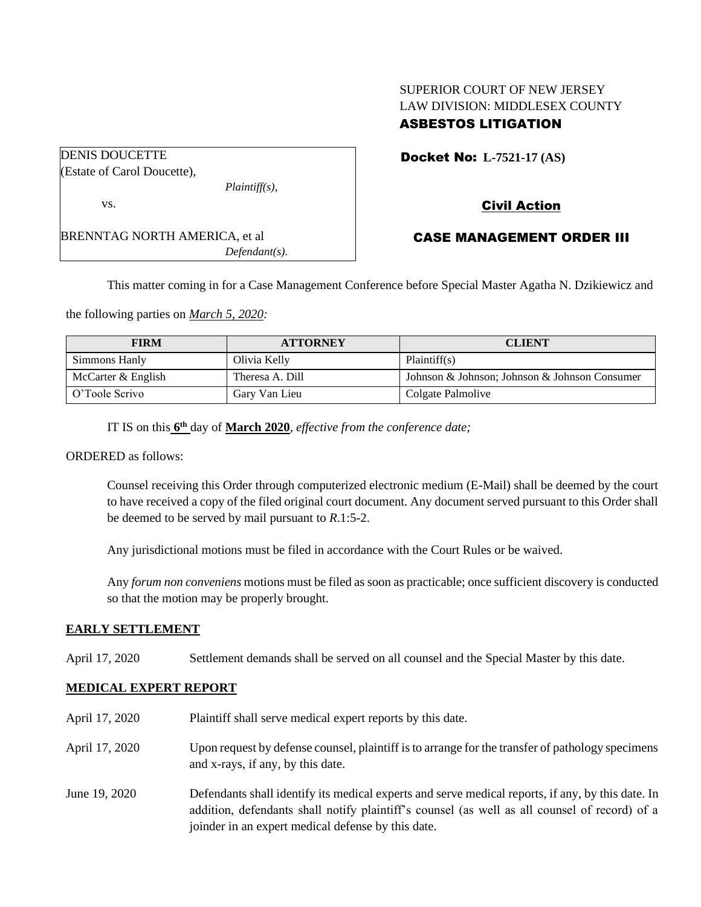# SUPERIOR COURT OF NEW JERSEY LAW DIVISION: MIDDLESEX COUNTY ASBESTOS LITIGATION

| <b>DENIS DOUCETTE</b>                |                  |
|--------------------------------------|------------------|
| (Estate of Carol Doucette),          |                  |
|                                      | $Plaintiff(s)$ , |
| VS.                                  |                  |
| <b>BRENNTAG NORTH AMERICA, et al</b> |                  |
|                                      | $Defendant(s)$ . |

Docket No: **L-7521-17 (AS)** 

# Civil Action

## CASE MANAGEMENT ORDER III

This matter coming in for a Case Management Conference before Special Master Agatha N. Dzikiewicz and

the following parties on *March 5, 2020:*

| <b>FIRM</b>          | <b>ATTORNEY</b> | <b>CLIENT</b>                                 |
|----------------------|-----------------|-----------------------------------------------|
| Simmons Hanly        | Olivia Kelly    | Plaintiff(s)                                  |
| McCarter $&$ English | Theresa A. Dill | Johnson & Johnson; Johnson & Johnson Consumer |
| O'Toole Scrivo       | Gary Van Lieu   | Colgate Palmolive                             |

IT IS on this **6 th** day of **March 2020**, *effective from the conference date;*

ORDERED as follows:

Counsel receiving this Order through computerized electronic medium (E-Mail) shall be deemed by the court to have received a copy of the filed original court document. Any document served pursuant to this Order shall be deemed to be served by mail pursuant to *R*.1:5-2.

Any jurisdictional motions must be filed in accordance with the Court Rules or be waived.

Any *forum non conveniens* motions must be filed as soon as practicable; once sufficient discovery is conducted so that the motion may be properly brought.

## **EARLY SETTLEMENT**

April 17, 2020 Settlement demands shall be served on all counsel and the Special Master by this date.

## **MEDICAL EXPERT REPORT**

| April 17, 2020 | Plaintiff shall serve medical expert reports by this date.                                                                                                                                                                                               |
|----------------|----------------------------------------------------------------------------------------------------------------------------------------------------------------------------------------------------------------------------------------------------------|
| April 17, 2020 | Upon request by defense counsel, plaintiff is to arrange for the transfer of pathology specimens<br>and x-rays, if any, by this date.                                                                                                                    |
| June 19, 2020  | Defendants shall identify its medical experts and serve medical reports, if any, by this date. In<br>addition, defendants shall notify plaintiff's counsel (as well as all counsel of record) of a<br>joinder in an expert medical defense by this date. |